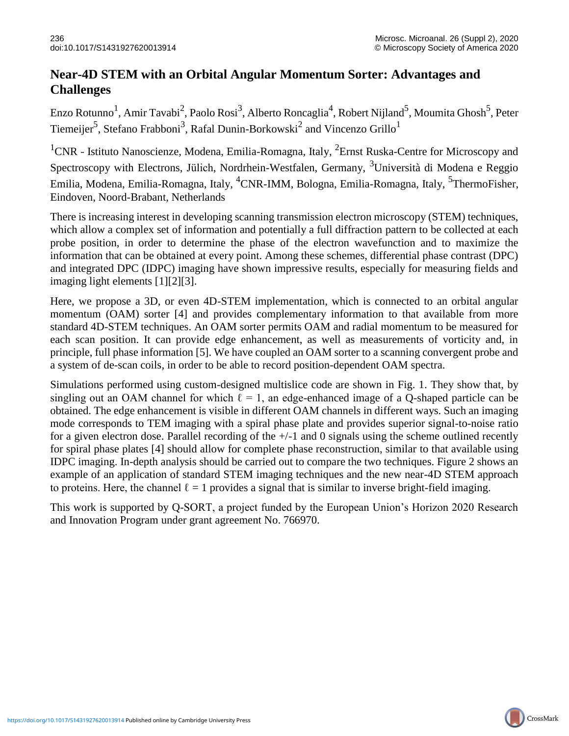## **Near-4D STEM with an Orbital Angular Momentum Sorter: Advantages and Challenges**

Enzo Rotunno<sup>1</sup>, Amir Tavabi<sup>2</sup>, Paolo Rosi<sup>3</sup>, Alberto Roncaglia<sup>4</sup>, Robert Nijland<sup>5</sup>, Moumita Ghosh<sup>5</sup>, Peter Tiemeijer<sup>5</sup>, Stefano Frabboni<sup>3</sup>, Rafal Dunin-Borkowski<sup>2</sup> and Vincenzo Grillo<sup>1</sup>

<sup>1</sup>CNR - Istituto Nanoscienze, Modena, Emilia-Romagna, Italy, <sup>2</sup>Ernst Ruska-Centre for Microscopy and Spectroscopy with Electrons, Jülich, Nordrhein-Westfalen, Germany, <sup>3</sup>Università di Modena e Reggio Emilia, Modena, Emilia-Romagna, Italy, <sup>4</sup>CNR-IMM, Bologna, Emilia-Romagna, Italy, <sup>5</sup>ThermoFisher, Eindoven, Noord-Brabant, Netherlands

There is increasing interest in developing scanning transmission electron microscopy (STEM) techniques, which allow a complex set of information and potentially a full diffraction pattern to be collected at each probe position, in order to determine the phase of the electron wavefunction and to maximize the information that can be obtained at every point. Among these schemes, differential phase contrast (DPC) and integrated DPC (IDPC) imaging have shown impressive results, especially for measuring fields and imaging light elements [1][2][3].

Here, we propose a 3D, or even 4D-STEM implementation, which is connected to an orbital angular momentum (OAM) sorter [4] and provides complementary information to that available from more standard 4D-STEM techniques. An OAM sorter permits OAM and radial momentum to be measured for each scan position. It can provide edge enhancement, as well as measurements of vorticity and, in principle, full phase information [5]. We have coupled an OAM sorter to a scanning convergent probe and a system of de-scan coils, in order to be able to record position-dependent OAM spectra.

Simulations performed using custom-designed multislice code are shown in Fig. 1. They show that, by singling out an OAM channel for which  $\ell = 1$ , an edge-enhanced image of a Q-shaped particle can be obtained. The edge enhancement is visible in different OAM channels in different ways. Such an imaging mode corresponds to TEM imaging with a spiral phase plate and provides superior signal-to-noise ratio for a given electron dose. Parallel recording of the  $+/-1$  and 0 signals using the scheme outlined recently for spiral phase plates [4] should allow for complete phase reconstruction, similar to that available using IDPC imaging. In-depth analysis should be carried out to compare the two techniques. Figure 2 shows an example of an application of standard STEM imaging techniques and the new near-4D STEM approach to proteins. Here, the channel  $\ell = 1$  provides a signal that is similar to inverse bright-field imaging.

This work is supported by Q-SORT, a project funded by the European Union's Horizon 2020 Research and Innovation Program under grant agreement No. 766970.

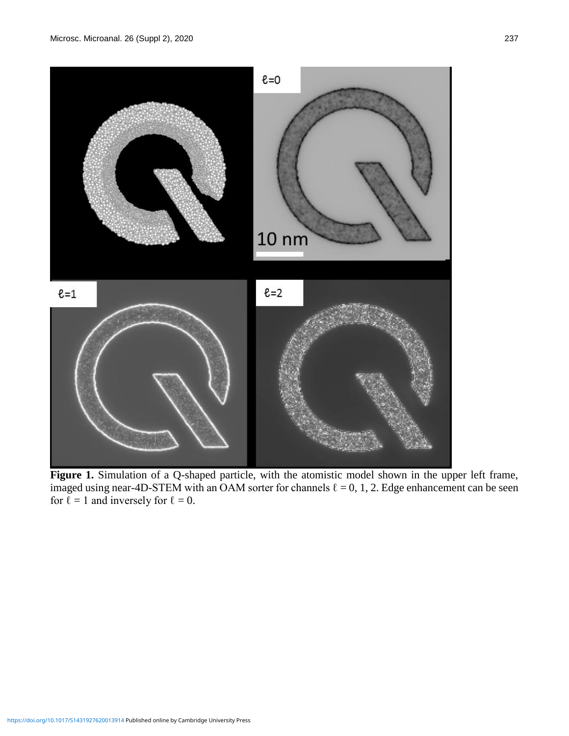

Figure 1. Simulation of a Q-shaped particle, with the atomistic model shown in the upper left frame, imaged using near-4D-STEM with an OAM sorter for channels  $\ell = 0, 1, 2$ . Edge enhancement can be seen for  $\ell = 1$  and inversely for  $\ell = 0$ .